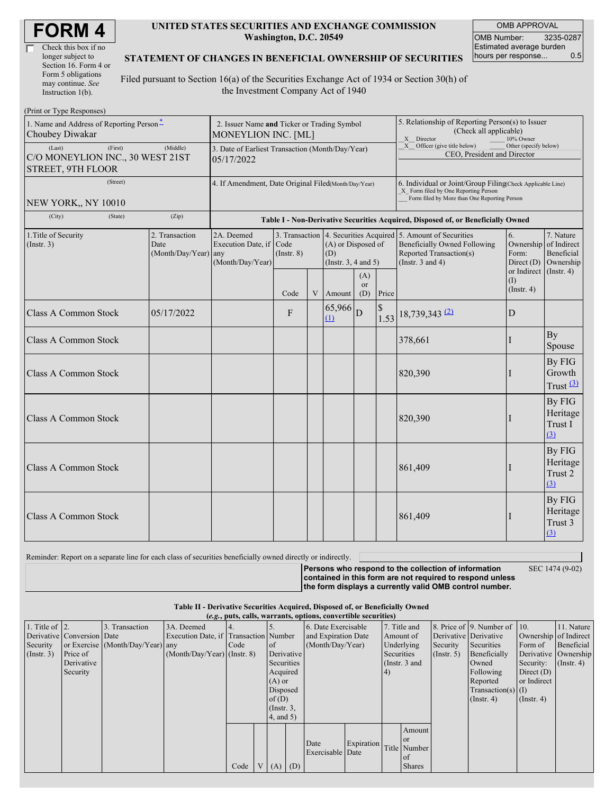| <b>FORM4</b> |
|--------------|
|--------------|

| Check this box if no  |
|-----------------------|
| longer subject to     |
| Section 16. Form 4 or |
| Form 5 obligations    |
| may continue. See     |
| Instruction $1(b)$ .  |

#### **UNITED STATES SECURITIES AND EXCHANGE COMMISSION Washington, D.C. 20549**

OMB APPROVAL OMB Number: 3235-0287 Estimated average burden hours per response... 0.5

#### **STATEMENT OF CHANGES IN BENEFICIAL OWNERSHIP OF SECURITIES**

Filed pursuant to Section 16(a) of the Securities Exchange Act of 1934 or Section 30(h) of the Investment Company Act of 1940

| (Print or Type Responses)                                                  |                                                                    |                                                                                  |                         |   |                                                       |                  |                                                                                                                                                    |                                                                                                                                                          |                                                                    |                                                     |
|----------------------------------------------------------------------------|--------------------------------------------------------------------|----------------------------------------------------------------------------------|-------------------------|---|-------------------------------------------------------|------------------|----------------------------------------------------------------------------------------------------------------------------------------------------|----------------------------------------------------------------------------------------------------------------------------------------------------------|--------------------------------------------------------------------|-----------------------------------------------------|
| 1. Name and Address of Reporting Person <sup>*</sup><br>Choubey Diwakar    | 2. Issuer Name and Ticker or Trading Symbol<br>MONEYLION INC. [ML] |                                                                                  |                         |   |                                                       |                  | 5. Relationship of Reporting Person(s) to Issuer<br>(Check all applicable)<br>X Director<br>10% Owner                                              |                                                                                                                                                          |                                                                    |                                                     |
| (First)<br>(Last)<br>C/O MONEYLION INC., 30 WEST 21ST<br>STREET, 9TH FLOOR | 3. Date of Earliest Transaction (Month/Day/Year)<br>05/17/2022     |                                                                                  |                         |   |                                                       |                  | X Officer (give title below)<br>CEO, President and Director                                                                                        | Other (specify below)                                                                                                                                    |                                                                    |                                                     |
| (Street)<br>NEW YORK,, NY 10010                                            | 4. If Amendment, Date Original Filed(Month/Day/Year)               |                                                                                  |                         |   |                                                       |                  | 6. Individual or Joint/Group Filing(Check Applicable Line)<br>X Form filed by One Reporting Person<br>Form filed by More than One Reporting Person |                                                                                                                                                          |                                                                    |                                                     |
| (State)<br>(City)                                                          | (Zip)                                                              | Table I - Non-Derivative Securities Acquired, Disposed of, or Beneficially Owned |                         |   |                                                       |                  |                                                                                                                                                    |                                                                                                                                                          |                                                                    |                                                     |
| 1. Title of Security<br>(Insert. 3)                                        | 2. Transaction<br>Date<br>$(Month/Day/Year)$ any                   | 2A. Deemed<br>Execution Date, if<br>(Month/Day/Year)                             | Code<br>$($ Instr. $8)$ |   | (A) or Disposed of<br>(D)<br>(Instr. $3, 4$ and $5$ ) |                  |                                                                                                                                                    | 3. Transaction 4. Securities Acquired 5. Amount of Securities<br><b>Beneficially Owned Following</b><br>Reported Transaction(s)<br>(Instr. $3$ and $4$ ) | 6.<br>Ownership<br>Form:<br>Direct $(D)$<br>or Indirect (Instr. 4) | 7. Nature<br>of Indirect<br>Beneficial<br>Ownership |
|                                                                            |                                                                    |                                                                                  | Code                    | V | Amount                                                | (A)<br>or<br>(D) | Price                                                                                                                                              |                                                                                                                                                          | (I)<br>$($ Instr. 4 $)$                                            |                                                     |
| <b>Class A Common Stock</b>                                                | 05/17/2022                                                         |                                                                                  | F                       |   | $65,966$ D<br>$\mathbf{u}$                            |                  | $\$$                                                                                                                                               | $1.53$ 18,739,343 (2)                                                                                                                                    | D                                                                  |                                                     |
| <b>Class A Common Stock</b>                                                |                                                                    |                                                                                  |                         |   |                                                       |                  |                                                                                                                                                    | 378,661                                                                                                                                                  |                                                                    | By<br>Spouse                                        |
| <b>Class A Common Stock</b>                                                |                                                                    |                                                                                  |                         |   |                                                       |                  |                                                                                                                                                    | 820,390                                                                                                                                                  |                                                                    | By FIG<br>Growth<br>Trust $(3)$                     |
| <b>Class A Common Stock</b>                                                |                                                                    |                                                                                  |                         |   |                                                       |                  |                                                                                                                                                    | 820,390                                                                                                                                                  |                                                                    | By FIG<br>Heritage<br>Trust I<br>(3)                |
| <b>Class A Common Stock</b>                                                |                                                                    |                                                                                  |                         |   |                                                       |                  |                                                                                                                                                    | 861,409                                                                                                                                                  |                                                                    | By FIG<br>Heritage<br>Trust 2<br>(3)                |
| <b>Class A Common Stock</b>                                                |                                                                    |                                                                                  |                         |   |                                                       |                  |                                                                                                                                                    | 861,409                                                                                                                                                  |                                                                    | By FIG<br>Heritage<br>Trust 3<br>(3)                |

Reminder: Report on a separate line for each class of securities beneficially owned directly or indirectly.

**Persons who respond to the collection of information contained in this form are not required to respond unless the form displays a currently valid OMB control number.**

SEC 1474 (9-02)

**Table II - Derivative Securities Acquired, Disposed of, or Beneficially Owned**

**(***e.g.***, puts, calls, warrants, options, convertible securities)**

| 1. Title of $\vert$ 2. |                            | 3. Transaction                   | 3A. Deemed                            |      |                 | 6. Date Exercisable |                  | 7. Title and |                        |                       | 8. Price of 9. Number of 10. |               | 11. Nature            |
|------------------------|----------------------------|----------------------------------|---------------------------------------|------|-----------------|---------------------|------------------|--------------|------------------------|-----------------------|------------------------------|---------------|-----------------------|
|                        | Derivative Conversion Date |                                  | Execution Date, if Transaction Number |      |                 | and Expiration Date |                  |              | Amount of              | Derivative Derivative |                              |               | Ownership of Indirect |
| Security               |                            | or Exercise (Month/Day/Year) any |                                       | Code | $\circ$ f       |                     | (Month/Day/Year) |              | Underlying<br>Security |                       | Securities                   | Form of       | <b>Beneficial</b>     |
| (Insert. 3)            | Price of                   |                                  | $(Month/Day/Year)$ (Instr. 8)         |      | Derivative      |                     |                  | Securities   |                        | $($ Instr. 5 $)$      | Beneficially                 |               | Derivative Ownership  |
|                        | Derivative                 |                                  |                                       |      | Securities      |                     |                  |              | (Instr. $3$ and        |                       | Owned                        | Security:     | $($ Instr. 4)         |
|                        | Security                   |                                  |                                       |      | Acquired        |                     |                  | (4)          |                        |                       | Following                    | Direct $(D)$  |                       |
|                        |                            |                                  |                                       |      | $(A)$ or        |                     |                  |              |                        |                       | Reported                     | or Indirect   |                       |
|                        |                            |                                  |                                       |      | Disposed        |                     |                  |              |                        |                       | $Transaction(s)$ (I)         |               |                       |
|                        |                            |                                  |                                       |      | of $(D)$        |                     |                  |              |                        |                       | $($ Instr. 4 $)$             | $($ Instr. 4) |                       |
|                        |                            |                                  |                                       |      | $($ Instr. $3,$ |                     |                  |              |                        |                       |                              |               |                       |
|                        |                            |                                  |                                       |      | 4, and 5)       |                     |                  |              |                        |                       |                              |               |                       |
|                        |                            |                                  |                                       |      |                 |                     |                  |              | Amount                 |                       |                              |               |                       |
|                        |                            |                                  |                                       |      |                 |                     |                  |              | <b>or</b>              |                       |                              |               |                       |
|                        |                            |                                  |                                       |      |                 | Date                | Expiration       |              | Title Number           |                       |                              |               |                       |
|                        |                            |                                  |                                       |      |                 | Exercisable Date    |                  |              | of.                    |                       |                              |               |                       |
|                        |                            |                                  |                                       | Code | $V(A)$ (D)      |                     |                  |              | <b>Shares</b>          |                       |                              |               |                       |